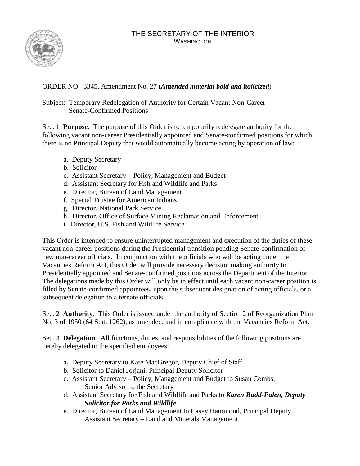## THE SECRETARY OF THE INTERIOR WASHINGTON



## ORDER NO. 3345, Amendment No. 27 (*Amended material bold and italicized*)

Subject: Temporary Redelegation of Authority for Certain Vacant Non-Career Senate-Confirmed Positions

Sec. 1 **Purpose**. The purpose of this Order is to temporarily redelegate authority for the following vacant non-career Presidentially appointed and Senate-confirmed positions for which there is no Principal Deputy that would automatically become acting by operation of law:

- a. Deputy Secretary
- b. Solicitor
- c. Assistant Secretary Policy, Management and Budget
- d. Assistant Secretary for Fish and Wildlife and Parks
- e. Director, Bureau of Land Management
- f. Special Trustee for American Indians
- g. Director, National Park Service
- h. Director, Office of Surface Mining Reclamation and Enforcement
- i. Director, U.S. Fish and Wildlife Service

This Order is intended to ensure uninterrupted management and execution of the duties of these vacant non-career positions during the Presidential transition pending Senate-confirmation of new non-career officials. In conjunction with the officials who will be acting under the Vacancies Reform Act, this Order will provide necessary decision making authority to Presidentially appointed and Senate-confirmed positions across the Department of the Interior. The delegations made by this Order will only be in effect until each vacant non-career position is filled by Senate-confirmed appointees, upon the subsequent designation of acting officials, or a subsequent delegation to alternate officials.

Sec. 2 **Authority**. This Order is issued under the authority of Section 2 of Reorganization Plan No. 3 of 1950 (64 Stat. 1262), as amended, and in compliance with the Vacancies Reform Act.

Sec. 3 **Delegation**. All functions, duties, and responsibilities of the following positions are hereby delegated to the specified employees:

- a. Deputy Secretary to Kate MacGregor, Deputy Chief of Staff
- b. Solicitor to Daniel Jorjani, Principal Deputy Solicitor
- c. Assistant Secretary Policy, Management and Budget to Susan Combs, Senior Advisor to the Secretary
- d. Assistant Secretary for Fish and Wildlife and Parks to *Karen Budd-Falen, Deputy Solicitor for Parks and Wildlife*
- e. Director, Bureau of Land Management to Casey Hammond, Principal Deputy Assistant Secretary – Land and Minerals Management